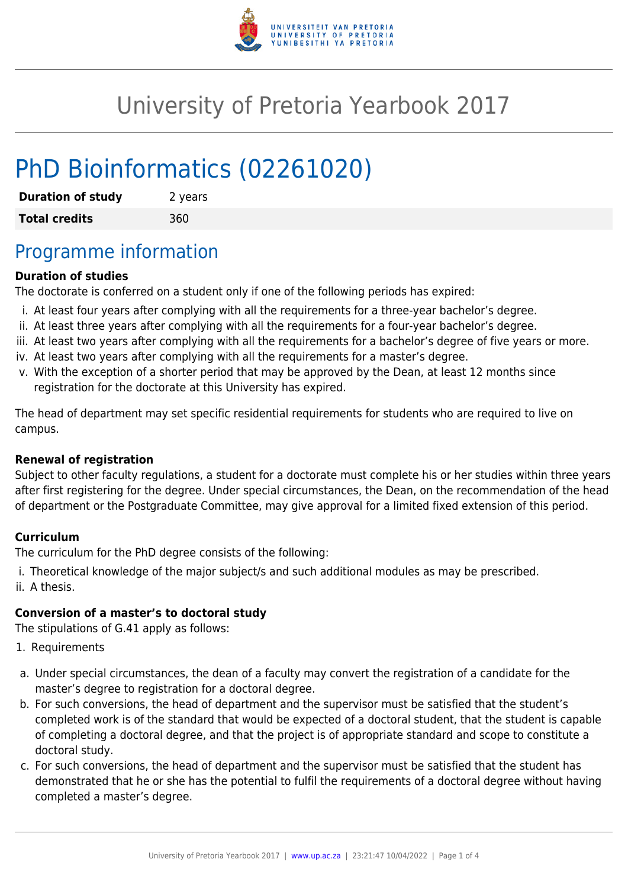

# University of Pretoria Yearbook 2017

# PhD Bioinformatics (02261020)

| <b>Duration of study</b> | 2 years |
|--------------------------|---------|
| <b>Total credits</b>     | 360     |

## Programme information

### **Duration of studies**

The doctorate is conferred on a student only if one of the following periods has expired:

- i. At least four years after complying with all the requirements for a three-year bachelor's degree.
- ii. At least three years after complying with all the requirements for a four-year bachelor's degree.
- iii. At least two years after complying with all the requirements for a bachelor's degree of five years or more.
- iv. At least two years after complying with all the requirements for a master's degree.
- v. With the exception of a shorter period that may be approved by the Dean, at least 12 months since registration for the doctorate at this University has expired.

The head of department may set specific residential requirements for students who are required to live on campus.

#### **Renewal of registration**

Subject to other faculty regulations, a student for a doctorate must complete his or her studies within three years after first registering for the degree. Under special circumstances, the Dean, on the recommendation of the head of department or the Postgraduate Committee, may give approval for a limited fixed extension of this period.

#### **Curriculum**

The curriculum for the PhD degree consists of the following:

i. Theoretical knowledge of the major subject/s and such additional modules as may be prescribed. ii. A thesis.

#### **Conversion of a master's to doctoral study**

The stipulations of G.41 apply as follows:

- 1. Requirements
- a. Under special circumstances, the dean of a faculty may convert the registration of a candidate for the master's degree to registration for a doctoral degree.
- b. For such conversions, the head of department and the supervisor must be satisfied that the student's completed work is of the standard that would be expected of a doctoral student, that the student is capable of completing a doctoral degree, and that the project is of appropriate standard and scope to constitute a doctoral study.
- c. For such conversions, the head of department and the supervisor must be satisfied that the student has demonstrated that he or she has the potential to fulfil the requirements of a doctoral degree without having completed a master's degree.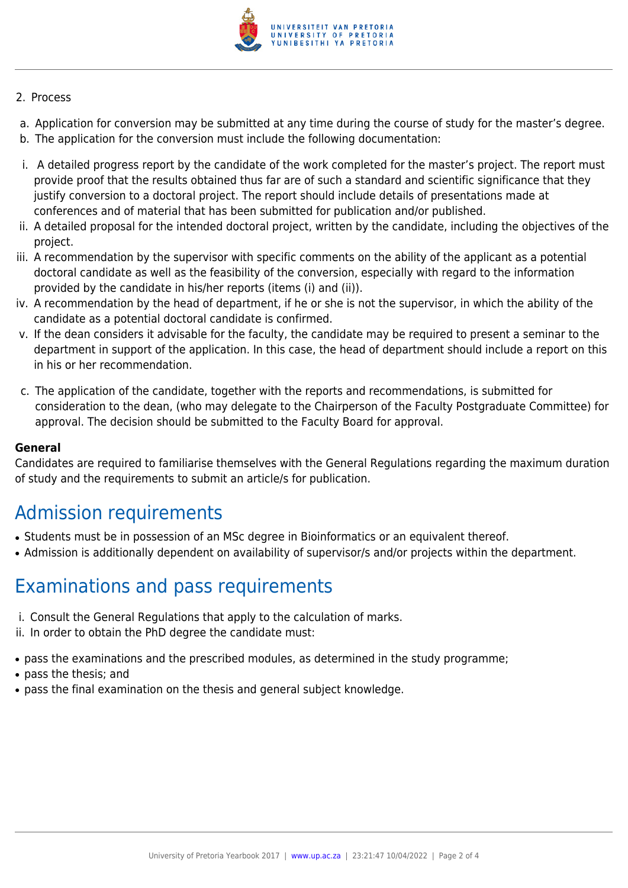

#### 2. Process

- a. Application for conversion may be submitted at any time during the course of study for the master's degree.
- b. The application for the conversion must include the following documentation:
- i. A detailed progress report by the candidate of the work completed for the master's project. The report must provide proof that the results obtained thus far are of such a standard and scientific significance that they justify conversion to a doctoral project. The report should include details of presentations made at conferences and of material that has been submitted for publication and/or published.
- ii. A detailed proposal for the intended doctoral project, written by the candidate, including the objectives of the project.
- iii. A recommendation by the supervisor with specific comments on the ability of the applicant as a potential doctoral candidate as well as the feasibility of the conversion, especially with regard to the information provided by the candidate in his/her reports (items (i) and (ii)).
- iv. A recommendation by the head of department, if he or she is not the supervisor, in which the ability of the candidate as a potential doctoral candidate is confirmed.
- v. If the dean considers it advisable for the faculty, the candidate may be required to present a seminar to the department in support of the application. In this case, the head of department should include a report on this in his or her recommendation.
- c. The application of the candidate, together with the reports and recommendations, is submitted for consideration to the dean, (who may delegate to the Chairperson of the Faculty Postgraduate Committee) for approval. The decision should be submitted to the Faculty Board for approval.

#### **General**

Candidates are required to familiarise themselves with the General Regulations regarding the maximum duration of study and the requirements to submit an article/s for publication.

## Admission requirements

- Students must be in possession of an MSc degree in Bioinformatics or an equivalent thereof.
- Admission is additionally dependent on availability of supervisor/s and/or projects within the department.

## Examinations and pass requirements

- i. Consult the General Regulations that apply to the calculation of marks.
- ii. In order to obtain the PhD degree the candidate must:
- pass the examinations and the prescribed modules, as determined in the study programme;
- pass the thesis; and
- pass the final examination on the thesis and general subject knowledge.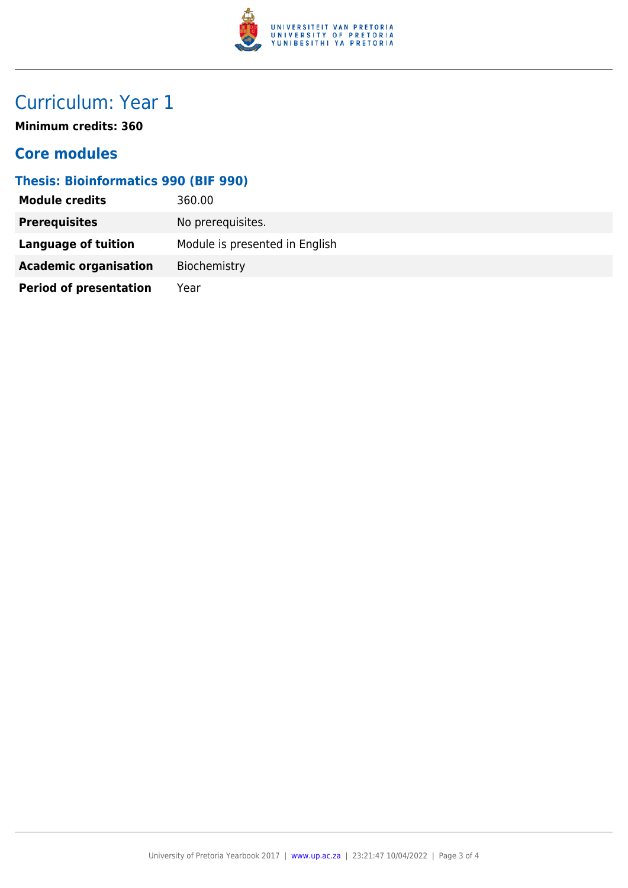

# Curriculum: Year 1

**Minimum credits: 360**

### **Core modules**

### **Thesis: Bioinformatics 990 (BIF 990)**

| <b>Module credits</b>         | 360.00                         |
|-------------------------------|--------------------------------|
| <b>Prerequisites</b>          | No prerequisites.              |
| Language of tuition           | Module is presented in English |
| <b>Academic organisation</b>  | Biochemistry                   |
| <b>Period of presentation</b> | Year                           |